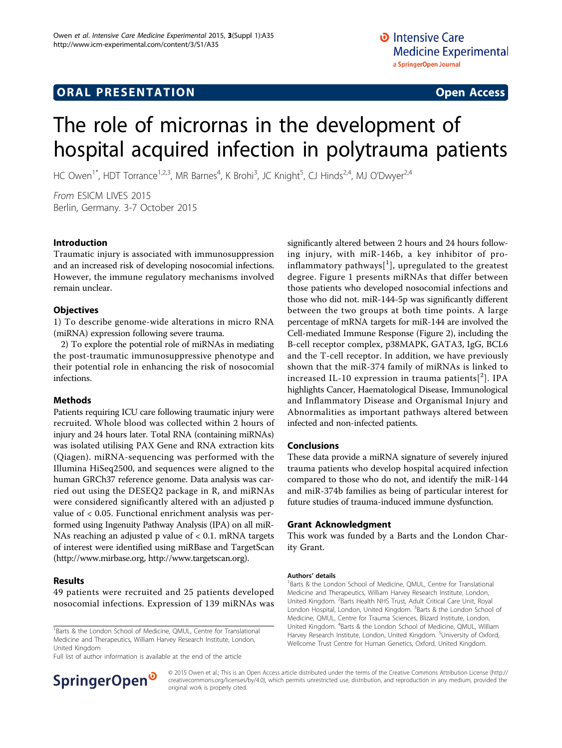# **ORAL PRESENTATION CONSUMING ACCESS**

# The role of micrornas in the development of hospital acquired infection in polytrauma patients

HC Owen<sup>1\*</sup>, HDT Torrance<sup>1,2,3</sup>, MR Barnes<sup>4</sup>, K Brohi<sup>3</sup>, JC Knight<sup>5</sup>, CJ Hinds<sup>2,4</sup>, MJ O'Dwyer<sup>2,4</sup>

From ESICM LIVES 2015 Berlin, Germany. 3-7 October 2015

## Introduction

Traumatic injury is associated with immunosuppression and an increased risk of developing nosocomial infections. However, the immune regulatory mechanisms involved remain unclear.

#### **Objectives**

1) To describe genome-wide alterations in micro RNA (miRNA) expression following severe trauma.

2) To explore the potential role of miRNAs in mediating the post-traumatic immunosuppressive phenotype and their potential role in enhancing the risk of nosocomial infections.

### Methods

Patients requiring ICU care following traumatic injury were recruited. Whole blood was collected within 2 hours of injury and 24 hours later. Total RNA (containing miRNAs) was isolated utilising PAX Gene and RNA extraction kits (Qiagen). miRNA-sequencing was performed with the Illumina HiSeq2500, and sequences were aligned to the human GRCh37 reference genome. Data analysis was carried out using the DESEQ2 package in R, and miRNAs were considered significantly altered with an adjusted p value of < 0.05. Functional enrichment analysis was performed using Ingenuity Pathway Analysis (IPA) on all miR-NAs reaching an adjusted p value of < 0.1. mRNA targets of interest were identified using miRBase and TargetScan ([http://www.mirbase.org,](http://www.mirbase.org)<http://www.targetscan.org>).

#### Results

49 patients were recruited and 25 patients developed nosocomial infections. Expression of 139 miRNAs was

<sup>1</sup>Barts & the London School of Medicine, QMUL, Centre for Translational Medicine and Therapeutics, William Harvey Research Institute, London, United Kingdom

Full list of author information is available at the end of the article



significantly altered between 2 hours and 24 hours following injury, with miR-146b, a key inhibitor of proinflammatory pathways $[$ <sup>[1](#page-1-0)</sup>], upregulated to the greatest degree. Figure [1](#page-1-0) presents miRNAs that differ between those patients who developed nosocomial infections and those who did not. miR-144-5p was significantly different between the two groups at both time points. A large percentage of mRNA targets for miR-144 are involved the Cell-mediated Immune Response (Figure [2\)](#page-1-0), including the B-cell receptor complex, p38MAPK, GATA3, IgG, BCL6 and the T-cell receptor. In addition, we have previously shown that the miR-374 family of miRNAs is linked to increased IL-10 expression in trauma patients $[^2]$  $[^2]$  $[^2]$ . IPA highlights Cancer, Haematological Disease, Immunological and Inflammatory Disease and Organismal Injury and Abnormalities as important pathways altered between infected and non-infected patients.

#### Conclusions

These data provide a miRNA signature of severely injured trauma patients who develop hospital acquired infection compared to those who do not, and identify the miR-144 and miR-374b families as being of particular interest for future studies of trauma-induced immune dysfunction.

#### Grant Acknowledgment

This work was funded by a Barts and the London Charity Grant.

#### Authors' details <sup>1</sup>

Barts & the London School of Medicine, QMUL, Centre for Translational Medicine and Therapeutics, William Harvey Research Institute, London, United Kingdom. <sup>2</sup>Barts Health NHS Trust, Adult Critical Care Unit, Royal London Hospital, London, United Kingdom. <sup>3</sup>Barts & the London School of Medicine, QMUL, Centre for Trauma Sciences, Blizard Institute, London, United Kingdom. <sup>4</sup>Barts & the London School of Medicine, QMUL, William Harvey Research Institute, London, United Kingdom. <sup>5</sup>University of Oxford Wellcome Trust Centre for Human Genetics, Oxford, United Kingdom.

© 2015 Owen et al.; This is an Open Access article distributed under the terms of the Creative Commons Attribution License [\(http://](http://creativecommons.org/licenses/by/4.0) [creativecommons.org/licenses/by/4.0](http://creativecommons.org/licenses/by/4.0)), which permits unrestricted use, distribution, and reproduction in any medium, provided the original work is properly cited.